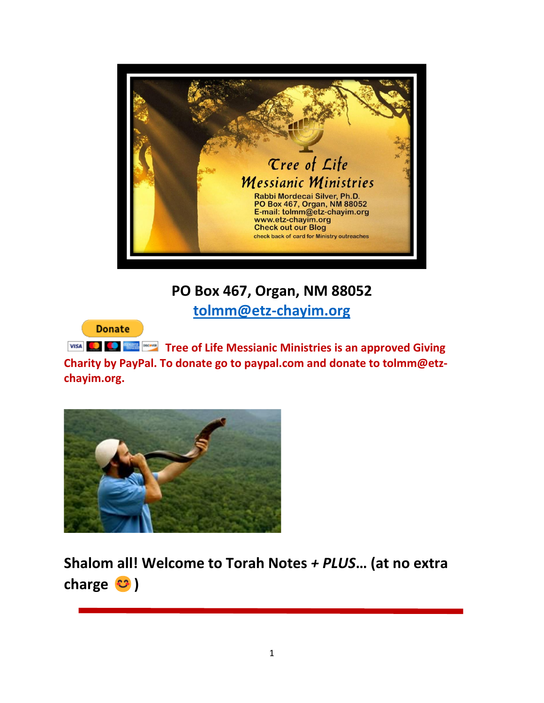

# **PO Box 467, Organ, NM 88052**

**[tolmm@etz-chayim.org](mailto:tolmm@etz-chayim.org)**

**Donate** 

**TYISA Tree of Life Messianic Ministries is an approved Giving Charity by PayPal. To donate go to paypal.com and donate to tolmm@etzchayim.org.**



**Shalom all! Welcome to Torah Notes** *+ PLUS***… (at no extra**  charge  $\mathbf{C}$  )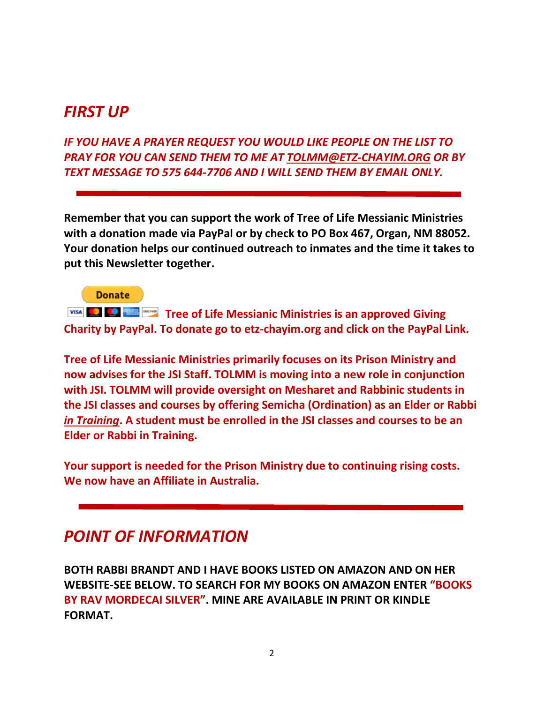# *FIRST UP*

*IF YOU HAVE A PRAYER REQUEST YOU WOULD LIKE PEOPLE ON THE LIST TO PRAY FOR YOU CAN SEND THEM TO ME AT [TOLMM@ETZ-CHAYIM.ORG](mailto:TOLMM@ETZ-CHAYIM.ORG) OR BY TEXT MESSAGE TO 575 644-7706 AND I WILL SEND THEM BY EMAIL ONLY.*

**Remember that you can support the work of Tree of Life Messianic Ministries with a donation made via PayPal or by check to PO Box 467, Organ, NM 88052. Your donation helps our continued outreach to inmates and the time it takes to put this Newsletter together.** 

**Donate** 

**TYISA Tree of Life Messianic Ministries is an approved Giving Charity by PayPal. To donate go to etz-chayim.org and click on the PayPal Link.**

**Tree of Life Messianic Ministries primarily focuses on its Prison Ministry and now advises for the JSI Staff. TOLMM is moving into a new role in conjunction with JSI. TOLMM will provide oversight on Mesharet and Rabbinic students in the JSI classes and courses by offering Semicha (Ordination) as an Elder or Rabbi**  *in Training***. A student must be enrolled in the JSI classes and courses to be an Elder or Rabbi in Training.** 

**Your support is needed for the Prison Ministry due to continuing rising costs. We now have an Affiliate in Australia.**

# *POINT OF INFORMATION*

**BOTH RABBI BRANDT AND I HAVE BOOKS LISTED ON AMAZON AND ON HER WEBSITE-SEE BELOW. TO SEARCH FOR MY BOOKS ON AMAZON ENTER "BOOKS BY RAV MORDECAI SILVER". MINE ARE AVAILABLE IN PRINT OR KINDLE FORMAT.**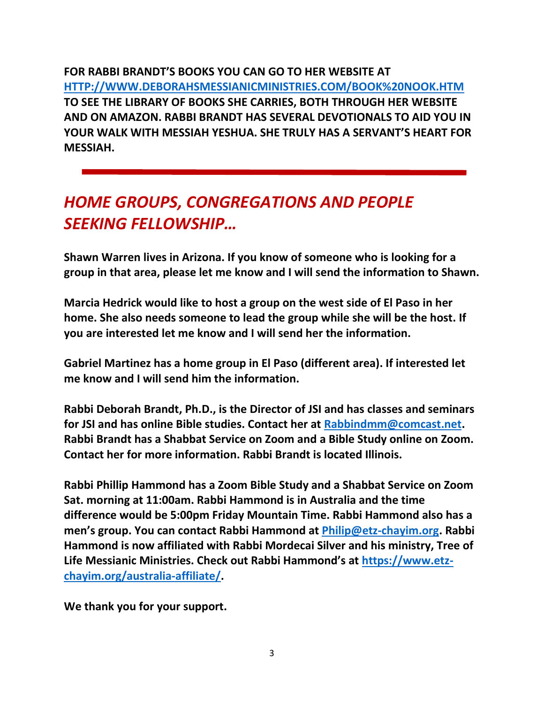**FOR RABBI BRANDT'S BOOKS YOU CAN GO TO HER WEBSITE AT [HTTP://WWW.DEBORAHSMESSIANICMINISTRIES.COM/BOOK%20NOOK.HTM](http://www.deborahsmessianicministries.com/Book%20Nook.htm) TO SEE THE LIBRARY OF BOOKS SHE CARRIES, BOTH THROUGH HER WEBSITE AND ON AMAZON. RABBI BRANDT HAS SEVERAL DEVOTIONALS TO AID YOU IN YOUR WALK WITH MESSIAH YESHUA. SHE TRULY HAS A SERVANT'S HEART FOR MESSIAH.**

# *HOME GROUPS, CONGREGATIONS AND PEOPLE SEEKING FELLOWSHIP…*

**Shawn Warren lives in Arizona. If you know of someone who is looking for a group in that area, please let me know and I will send the information to Shawn.**

**Marcia Hedrick would like to host a group on the west side of El Paso in her home. She also needs someone to lead the group while she will be the host. If you are interested let me know and I will send her the information.**

**Gabriel Martinez has a home group in El Paso (different area). If interested let me know and I will send him the information.**

**Rabbi Deborah Brandt, Ph.D., is the Director of JSI and has classes and seminars for JSI and has online Bible studies. Contact her at [Rabbindmm@comcast.net.](mailto:Rabbindmm@comcast.net) Rabbi Brandt has a Shabbat Service on Zoom and a Bible Study online on Zoom. Contact her for more information. Rabbi Brandt is located Illinois.**

**Rabbi Phillip Hammond has a Zoom Bible Study and a Shabbat Service on Zoom Sat. morning at 11:00am. Rabbi Hammond is in Australia and the time difference would be 5:00pm Friday Mountain Time. Rabbi Hammond also has a men's group. You can contact Rabbi Hammond at [Philip@etz-chayim.org.](mailto:Philip@etz-chayim.org) Rabbi Hammond is now affiliated with Rabbi Mordecai Silver and his ministry, Tree of Life Messianic Ministries. Check out Rabbi Hammond's at [https://www.etz](https://www.etz-chayim.org/australia-affiliate/)[chayim.org/australia-affiliate/.](https://www.etz-chayim.org/australia-affiliate/)** 

**We thank you for your support.**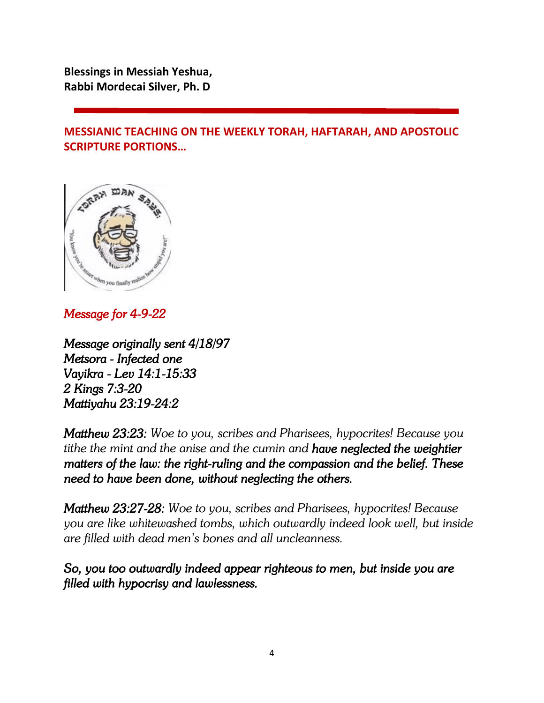**Blessings in Messiah Yeshua, Rabbi Mordecai Silver, Ph. D**

**MESSIANIC TEACHING ON THE WEEKLY TORAH, HAFTARAH, AND APOSTOLIC SCRIPTURE PORTIONS…**



# *Message for 4-9-22*

*Message originally sent 4/18/97 Metsora - Infected one Vayikra - Lev 14:1-15:33 2 Kings 7:3-20 Mattiyahu 23:19-24:2* 

*Matthew 23:23: Woe to you, scribes and Pharisees, hypocrites! Because you tithe the mint and the anise and the cumin and have neglected the weightier matters of the law: the right-ruling and the compassion and the belief. These need to have been done, without neglecting the others.* 

*Matthew 23:27-28: Woe to you, scribes and Pharisees, hypocrites! Because you are like whitewashed tombs, which outwardly indeed look well, but inside are filled with dead men's bones and all uncleanness.*

*So, you too outwardly indeed appear righteous to men, but inside you are filled with hypocrisy and lawlessness.*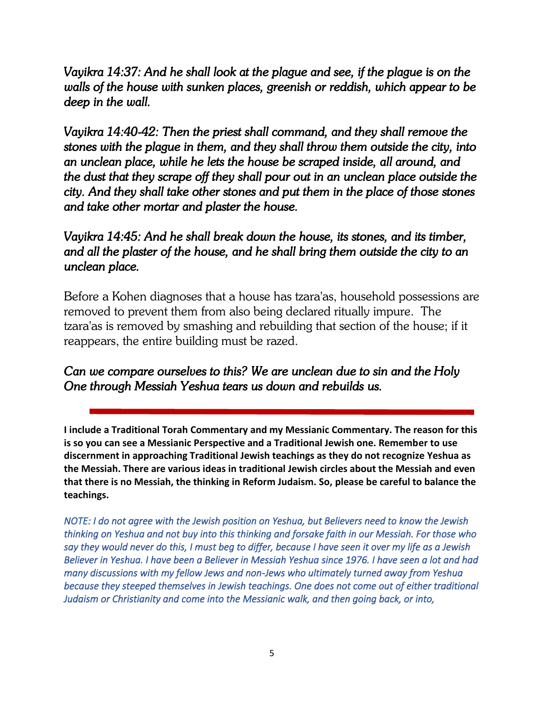*Vayikra 14:37: And he shall look at the plague and see, if the plague is on the walls of the house with sunken places, greenish or reddish, which appear to be deep in the wall.* 

*Vayikra 14:40-42: Then the priest shall command, and they shall remove the stones with the plague in them, and they shall throw them outside the city, into an unclean place, while he lets the house be scraped inside, all around, and the dust that they scrape off they shall pour out in an unclean place outside the city. And they shall take other stones and put them in the place of those stones and take other mortar and plaster the house.* 

# *Vayikra 14:45: And he shall break down the house, its stones, and its timber, and all the plaster of the house, and he shall bring them outside the city to an unclean place.*

Before a Kohen diagnoses that a house has tzara'as, household possessions are removed to prevent them from also being declared ritually impure. The tzara'as is removed by smashing and rebuilding that section of the house; if it reappears, the entire building must be razed.

# *Can we compare ourselves to this? We are unclean due to sin and the Holy One through Messiah Yeshua tears us down and rebuilds us.*

**I include a Traditional Torah Commentary and my Messianic Commentary. The reason for this is so you can see a Messianic Perspective and a Traditional Jewish one. Remember to use discernment in approaching Traditional Jewish teachings as they do not recognize Yeshua as the Messiah. There are various ideas in traditional Jewish circles about the Messiah and even that there is no Messiah, the thinking in Reform Judaism. So, please be careful to balance the teachings.**

*NOTE: I do not agree with the Jewish position on Yeshua, but Believers need to know the Jewish thinking on Yeshua and not buy into this thinking and forsake faith in our Messiah. For those who say they would never do this, I must beg to differ, because I have seen it over my life as a Jewish Believer in Yeshua. I have been a Believer in Messiah Yeshua since 1976. I have seen a lot and had many discussions with my fellow Jews and non-Jews who ultimately turned away from Yeshua because they steeped themselves in Jewish teachings. One does not come out of either traditional Judaism or Christianity and come into the Messianic walk, and then going back, or into,*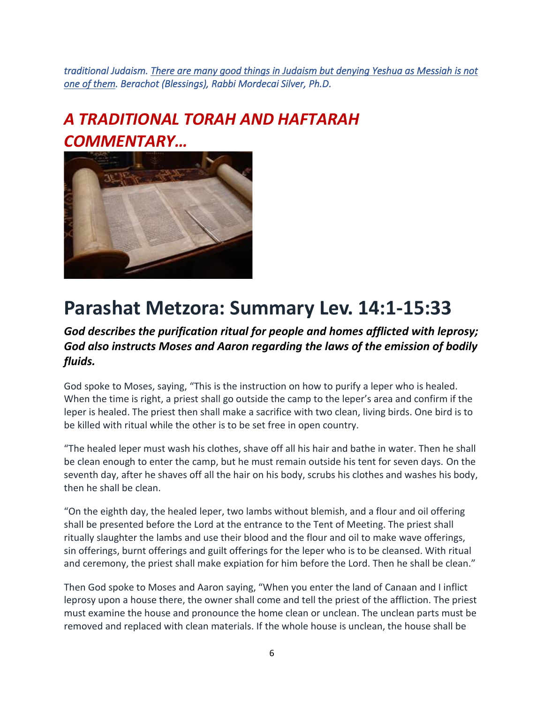*traditional Judaism. There are many good things in Judaism but denying Yeshua as Messiah is not one of them. Berachot (Blessings), Rabbi Mordecai Silver, Ph.D.* 

# *A TRADITIONAL TORAH AND HAFTARAH COMMENTARY…*



# **Parashat Metzora: Summary Lev. 14:1-15:33**

### *God describes the purification ritual for people and homes afflicted with leprosy; God also instructs Moses and Aaron regarding the laws of the emission of bodily fluids.*

God spoke to Moses, saying, "This is the instruction on how to purify a leper who is healed. When the time is right, a priest shall go outside the camp to the leper's area and confirm if the leper is healed. The priest then shall make a sacrifice with two clean, living birds. One bird is to be killed with ritual while the other is to be set free in open country.

"The healed leper must wash his clothes, shave off all his hair and bathe in water. Then he shall be clean enough to enter the camp, but he must remain outside his tent for seven days. On the seventh day, after he shaves off all the hair on his body, scrubs his clothes and washes his body, then he shall be clean.

"On the eighth day, the healed leper, two lambs without blemish, and a flour and oil offering shall be presented before the Lord at the entrance to the Tent of Meeting. The priest shall ritually slaughter the lambs and use their blood and the flour and oil to make wave offerings, sin offerings, burnt offerings and guilt offerings for the leper who is to be cleansed. With ritual and ceremony, the priest shall make expiation for him before the Lord. Then he shall be clean."

Then God spoke to Moses and Aaron saying, "When you enter the land of Canaan and I inflict leprosy upon a house there, the owner shall come and tell the priest of the affliction. The priest must examine the house and pronounce the home clean or unclean. The unclean parts must be removed and replaced with clean materials. If the whole house is unclean, the house shall be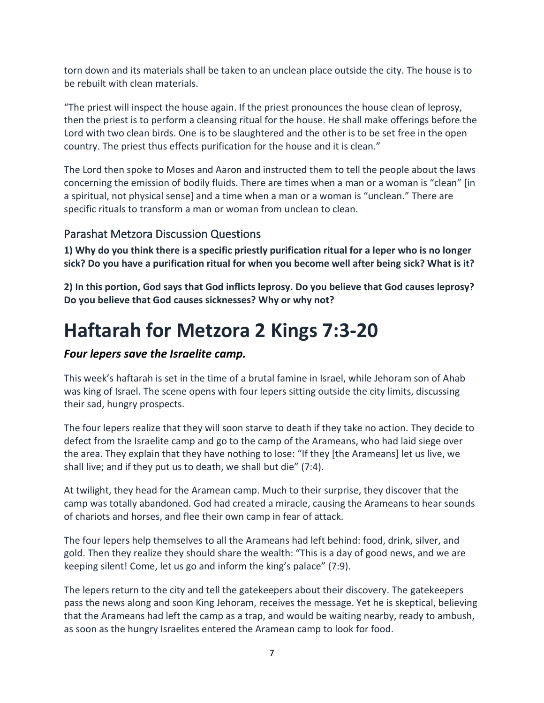torn down and its materials shall be taken to an unclean place outside the city. The house is to be rebuilt with clean materials.

"The priest will inspect the house again. If the priest pronounces the house clean of leprosy, then the priest is to perform a cleansing ritual for the house. He shall make offerings before the Lord with two clean birds. One is to be slaughtered and the other is to be set free in the open country. The priest thus effects purification for the house and it is clean."

The Lord then spoke to Moses and Aaron and instructed them to tell the people about the laws concerning the emission of bodily fluids. There are times when a man or a woman is "clean" [in a spiritual, not physical sense] and a time when a man or a woman is "unclean." There are specific rituals to transform a man or woman from unclean to clean.

### Parashat Metzora Discussion Questions

**1) Why do you think there is a specific priestly purification ritual for a leper who is no longer sick? Do you have a purification ritual for when you become well after being sick? What is it?**

**2) In this portion, God says that God inflicts leprosy. Do you believe that God causes leprosy? Do you believe that God causes sicknesses? Why or why not?**

# **Haftarah for Metzora 2 Kings 7:3-20**

### *Four lepers save the Israelite camp.*

This week's haftarah is set in the time of a brutal famine in Israel, while Jehoram son of Ahab was king of Israel. The scene opens with four lepers sitting outside the city limits, discussing their sad, hungry prospects.

The four lepers realize that they will soon starve to death if they take no action. They decide to defect from the Israelite camp and go to the camp of the Arameans, who had laid siege over the area. They explain that they have nothing to lose: "If they [the Arameans] let us live, we shall live; and if they put us to death, we shall but die" (7:4).

At twilight, they head for the Aramean camp. Much to their surprise, they discover that the camp was totally abandoned. God had created a miracle, causing the Arameans to hear sounds of chariots and horses, and flee their own camp in fear of attack.

The four lepers help themselves to all the Arameans had left behind: food, drink, silver, and gold. Then they realize they should share the wealth: "This is a day of good news, and we are keeping silent! Come, let us go and inform the king's palace" (7:9).

The lepers return to the city and tell the gatekeepers about their discovery. The gatekeepers pass the news along and soon King Jehoram, receives the message. Yet he is skeptical, believing that the Arameans had left the camp as a trap, and would be waiting nearby, ready to ambush, as soon as the hungry Israelites entered the Aramean camp to look for food.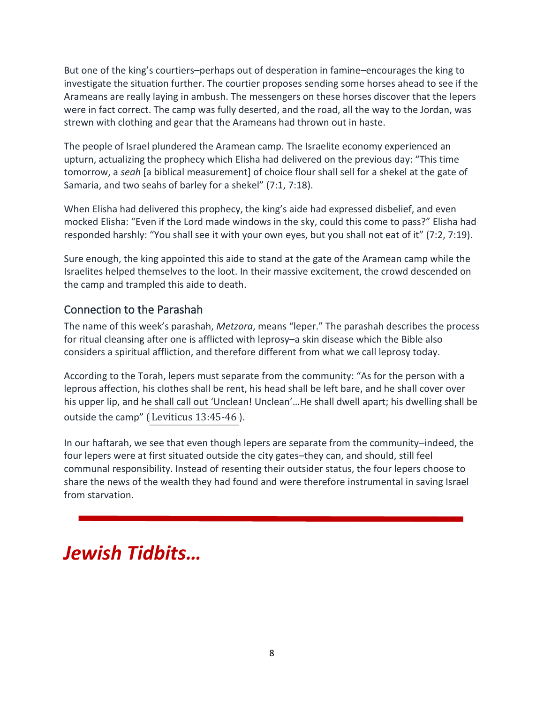But one of the king's courtiers–perhaps out of desperation in famine–encourages the king to investigate the situation further. The courtier proposes sending some horses ahead to see if the Arameans are really laying in ambush. The messengers on these horses discover that the lepers were in fact correct. The camp was fully deserted, and the road, all the way to the Jordan, was strewn with clothing and gear that the Arameans had thrown out in haste.

The people of Israel plundered the Aramean camp. The Israelite economy experienced an upturn, actualizing the prophecy which Elisha had delivered on the previous day: "This time tomorrow, a *seah* [a biblical measurement] of choice flour shall sell for a shekel at the gate of Samaria, and two seahs of barley for a shekel" (7:1, 7:18).

When Elisha had delivered this prophecy, the king's aide had expressed disbelief, and even mocked Elisha: "Even if the Lord made windows in the sky, could this come to pass?" Elisha had responded harshly: "You shall see it with your own eyes, but you shall not eat of it" (7:2, 7:19).

Sure enough, the king appointed this aide to stand at the gate of the Aramean camp while the Israelites helped themselves to the loot. In their massive excitement, the crowd descended on the camp and trampled this aide to death.

### Connection to the Parashah

The name of this week's parashah, *[Metzora](https://www.myjewishlearning.com/texts/Bible/Weekly_Torah_Portion/metzora_summary.shtml)*, means "leper." The parashah describes the process for ritual cleansing after one is afflicted with leprosy–a skin disease which the Bible also considers a spiritual affliction, and therefore different from what we call leprosy today.

According to the Torah, lepers must separate from the community: "As for the person with a leprous affection, his clothes shall be rent, his head shall be left bare, and he shall cover over his upper lip, and he shall call out 'Unclean! Unclean'...He shall dwell apart; his dwelling shall be outside the camp" (Leviticus  $13:45-46$ ).

In our haftarah, we see that even though lepers are separate from the community–indeed, the four lepers were at first situated outside the city gates–they can, and should, still feel communal responsibility. Instead of resenting their outsider status, the four lepers choose to share the news of the wealth they had found and were therefore instrumental in saving Israel from starvation.

# *Jewish Tidbits…*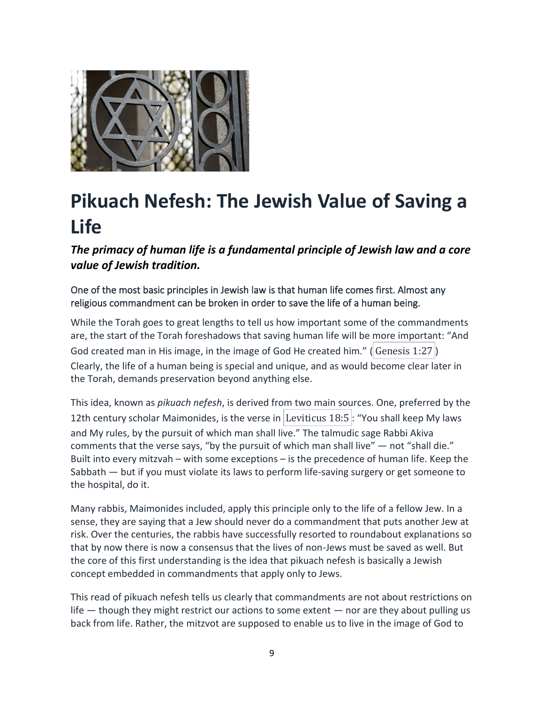

# **Pikuach Nefesh: The Jewish Value of Saving a Life**

*The primacy of human life is a fundamental principle of Jewish law and a core value of Jewish tradition.*

One of the most basic principles in Jewish law is that human life comes first. Almost any religious commandment can be broken in order to save the life of a human being.

While the Torah goes to great lengths to tell us how important some of the commandments are, the start of the Torah foreshadows that saving human life will be more important: "And God created man in His image, in the image of God He created him." (Genesis 1:27) Clearly, the life of a human being is special and unique, and as would become clear later in the Torah, demands preservation beyond anything else.

This idea, known as *[pikuach nefesh](https://www.myjewishlearning.com/article/saving-a-life-pikuach-nefesh/)*, is derived from two main sources. One, preferred by the 12th century scholar [Maimonides,](https://www.myjewishlearning.com/article/maimonides-rambam/) is the verse in Leviticus 18:5 : "You shall keep My laws and My rules, by the pursuit of which man shall live." The talmudic sage Rabbi Akiva comments that the verse says, "by the pursuit of which man shall live"  $-$  not "shall die." Built into every mitzvah – with some exceptions – is the precedence of human life. Keep the Sabbath — but if you must violate its laws to perform life-saving surgery or get someone to the hospital, do it.

Many rabbis, Maimonides included, apply this principle only to the life of a fellow Jew. In a sense, they are saying that a Jew should never do a commandment that puts another Jew at risk. Over the centuries, the rabbis have successfully resorted to roundabout explanations so that by now there is now a consensus that the lives of non-Jews must be saved as well. But the core of this first understanding is the idea that pikuach nefesh is basically a Jewish concept embedded in commandments that apply only to Jews.

This read of pikuach nefesh tells us clearly that commandments are not about restrictions on life — though they might restrict our actions to some extent — nor are they about pulling us back from life. Rather, the [mitzvot](https://www.myjewishlearning.com/article/mitzvot-a-mitzvah-is-a-commandment/) are supposed to enable us to live in the image of God to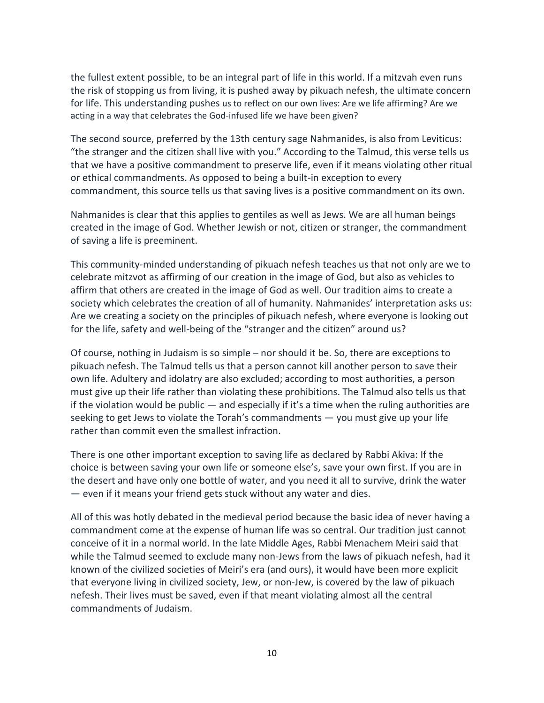the fullest extent possible, to be an integral part of life in this world. If a mitzvah even runs the risk of stopping us from living, it is pushed away by pikuach nefesh, the ultimate concern for life. This understanding pushes us to reflect on our own lives: Are we life affirming? Are we acting in a way that celebrates the God-infused life we have been given?

The second source, preferred by the 13th century sage [Nahmanides,](https://www.myjewishlearning.com/article/nahmanides-ramban/) is also from Leviticus: "the stranger and the citizen shall live with you." According to the Talmud, this verse tells us that we have a positive commandment to preserve life, even if it means violating other ritual or ethical commandments. As opposed to being a built-in exception to every commandment, this source tells us that saving lives is a positive commandment on its own.

Nahmanides is clear that this applies to gentiles as well as Jews. We are all human beings created in the image of God. Whether Jewish or not, citizen or stranger, the commandment of saving a life is preeminent.

This community-minded understanding of pikuach nefesh teaches us that not only are we to celebrate mitzvot as affirming of our creation in the image of God, but also as vehicles to affirm that others are created in the image of God as well. Our tradition aims to create a society which celebrates the creation of all of humanity. Nahmanides' interpretation asks us: Are we creating a society on the principles of pikuach nefesh, where everyone is looking out for the life, safety and well-being of the "stranger and the citizen" around us?

Of course, nothing in Judaism is so simple – nor should it be. So, there are exceptions to pikuach nefesh. The Talmud tells us that a person cannot kill another person to save their own life. Adultery and idolatry are also excluded; according to most authorities, a person must give up their life rather than violating these prohibitions. The Talmud also tells us that if the violation would be public  $-$  and especially if it's a time when the ruling authorities are seeking to get Jews to violate the Torah's commandments — you must give up your life rather than commit even the smallest infraction.

There is one other important exception to saving life as declared by Rabbi Akiva: If the choice is between saving your own life or someone else's, save your own first. If you are in the desert and have only one bottle of water, and you need it all to survive, drink the water — even if it means your friend gets stuck without any water and dies.

All of this was hotly debated in the medieval period because the basic idea of never having a commandment come at the expense of human life was so central. Our tradition just cannot conceive of it in a normal world. In the late Middle Ages, Rabbi Menachem Meiri said that while the Talmud seemed to exclude many non-Jews from the laws of pikuach nefesh, had it known of the civilized societies of Meiri's era (and ours), it would have been more explicit that everyone living in civilized society, Jew, or non-Jew, is covered by the law of pikuach nefesh. Their lives must be saved, even if that meant violating almost all the central commandments of Judaism.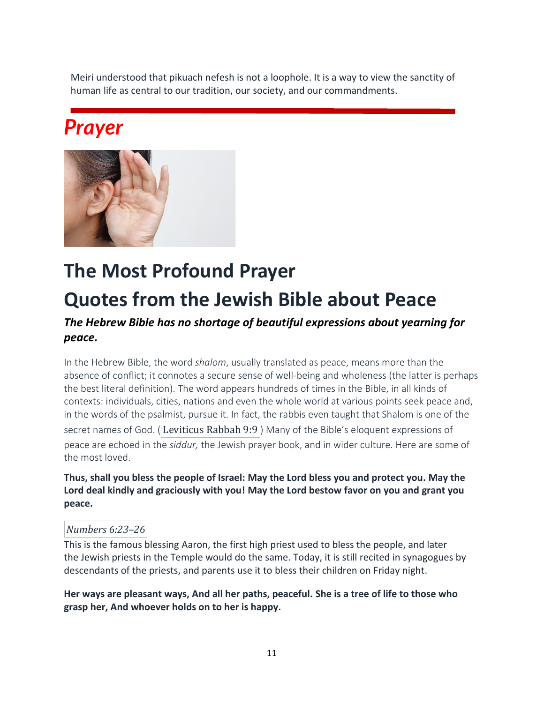Meiri understood that pikuach nefesh is not a loophole. It is a way to view the sanctity of human life as central to our tradition, our society, and our commandments.

# *Prayer*



# **The Most Profound Prayer Quotes from the Jewish Bible about Peace**

## *The Hebrew Bible has no shortage of beautiful expressions about yearning for peace.*

In the Hebrew Bible, [the word](https://www.myjewishlearning.com/article/shalom/) *shalom*, usually translated as peace, means more than the absence of conflict; it connotes a secure sense of well-being and wholeness (the latter is perhaps the best literal definition). The word appears hundreds of times in the [Bible,](https://www.myjewishlearning.com/article/your-guide-to-reading-the-hebrew-bible/) in all kinds of contexts: individuals, cities, nations and even the whole world at various points seek peace and, in the words of the psalmist, pursue it. In fact, the rabbis even taught that Shalom is one of the secret [names of God.](https://www.myjewishlearning.com/article/the-names-of-god/) (Leviticus Rabbah 9:9) Many of the Bible's eloquent expressions of peace are echoed in the *siddur,* [the Jewish prayer book,](https://www.myjewishlearning.com/article/siddur/) and in wider culture. Here are some of the most loved.

#### **Thus, shall you bless the people of Israel: May the Lord bless you and protect you. May the Lord deal kindly and graciously with you! May the Lord bestow favor on you and grant you peace.**

#### *Numbers 6:23–26*

This is the famous blessing [Aaron, the first high priest](https://www.myjewishlearning.com/article/aaron-the-high-priest/) used to bless the people, and later the [Jewish priests in the Temple](https://www.myjewishlearning.com/article/kohanim-jewish-priests/) would do the same. Today, it is still recited in synagogues by descendants of the priests, and parents use it to [bless their children on Friday night.](https://www.myjewishlearning.com/article/blessing-the-children/)

**Her ways are pleasant ways, And all her paths, peaceful. She is a tree of life to those who grasp her, And whoever holds on to her is happy.**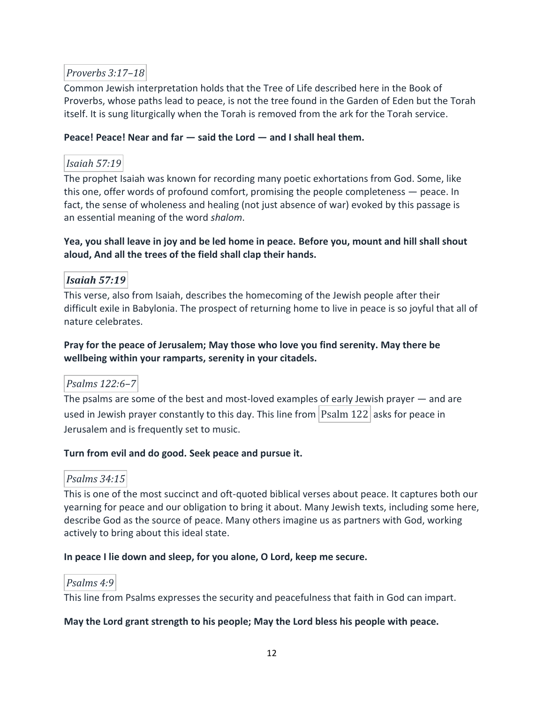### *Proverbs 3:17–18*

Common Jewish interpretation holds that the [Tree of Life](https://www.myjewishlearning.com/article/what-is-the-tree-of-life-etz-chaim/) described here in the Book of Proverbs, whose paths lead to peace, is not the tree found in the Garden of Eden but the Torah itself. It is sung liturgically when the Torah is [removed from the ark for the Torah service.](https://www.myjewishlearning.com/article/the-torah-service/)

#### **Peace! Peace! Near and far — said the Lord — and I shall heal them.**

#### *Isaiah 57:19*

The [prophet Isaiah](https://www.myjewishlearning.com/article/isaiah-40-66-return-and-restoration/) was known for recording many poetic exhortations from God. Some, like this one, offer words of profound comfort, promising the people completeness — peace. In fact, the sense of wholeness and healing (not just absence of war) evoked by this passage is an [essential meaning of the word](https://www.myjewishlearning.com/article/shalom/) *shalom*.

#### **Yea, you shall leave in joy and be led home in peace. Before you, mount and hill shall shout aloud, And all the trees of the field shall clap their hands.**

### *Isaiah 57:19*

This verse, also from Isaiah, describes the homecoming of the Jewish people after their difficult [exile in Babylonia.](https://www.myjewishlearning.com/article/babylonian-exile/) The prospect of returning home to live in peace is so joyful that all of nature celebrates.

#### **Pray for the peace of Jerusalem; May those who love you find serenity. May there be wellbeing within your ramparts, serenity in your citadels.**

#### *Psalms 122:6–7*

[The psalms](https://www.myjewishlearning.com/article/the-book-of-psalms/) are some of the best and most-loved examples of early Jewish prayer — and are used in Jewish prayer constantly to this day. This line from  $\lvert$  Psalm 122 asks for peace in Jerusalem and is [frequently set to music.](https://www.youtube.com/watch?v=EH3PnspPdwE)

#### **Turn from evil and do good. Seek peace and pursue it.**

#### *Psalms 34:15*

This is one of the most succinct and oft-quoted biblical verses about peace. It captures both our yearning for peace and our obligation to bring it about. Many Jewish texts, including some here, describe God as the source of peace. Many others imagine us as partners with God, working actively to bring about this ideal state.

#### **In peace I lie down and sleep, for you alone, O Lord, keep me secure.**

#### *Psalms 4:9*

This line from Psalms expresses the security and peacefulness that [faith in God](https://www.myjewishlearning.com/article/from-belief-to-faith/) can impart.

#### **May the Lord grant strength to his people; May the Lord bless his people with peace.**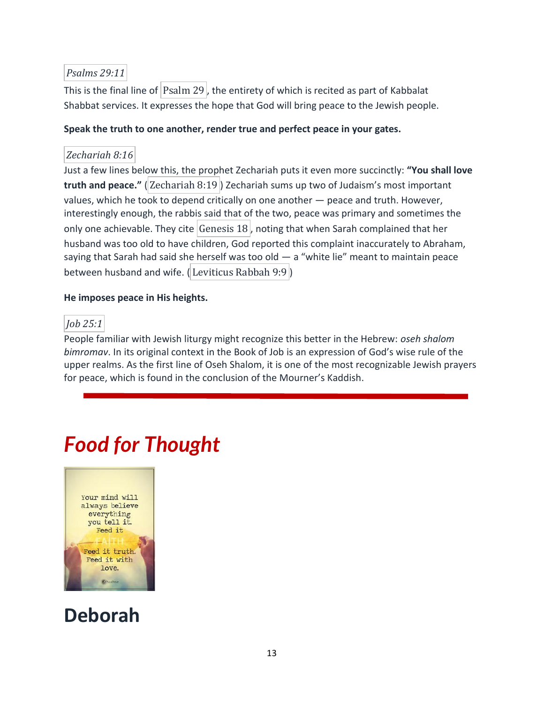#### *Psalms 29:11*

This is the final line of  $\vert$  Psalm 29, the entirety of which is recited as part of Kabbalat [Shabbat](https://www.myjewishlearning.com/article/kabbalat-shabbat/) services. It expresses the hope that God will bring peace to the Jewish people.

#### **Speak the truth to one another, render true and perfect peace in your gates.**

### *Zechariah 8:16*

Just a few lines below this, [the prophet Zechariah](https://www.myjewishlearning.com/article/zechariahs-message/) puts it even more succinctly: **"You shall love truth and peace."** ( Zechariah 8:19 ) Zechariah sums up two of Judaism's most important values, which he took to depend critically on one another — peace and truth. However, interestingly enough, the rabbis said that of the two, peace was primary and sometimes the only one achievable. They cite Genesis  $18$ , noting that when Sarah complained that her husband was too old to have children, God reported this complaint inaccurately to Abraham, saying that Sarah had said she herself was too old  $-$  a "white lie" meant to maintain peace between husband and wife. (Leviticus Rabbah 9:9)

#### **He imposes peace in His heights.**

### *Job 25:1*

People familiar with Jewish liturgy might recognize this better in the Hebrew: *oseh shalom bimromav*. In its original context in the [Book of Job](https://www.myjewishlearning.com/article/job-in-the-synagogue/) is an expression of God's wise rule of the upper realms. As the first line of Oseh Shalom, it is one of the most recognizable Jewish prayers for peace, which is found in the conclusion of the [Mourner's Kaddish](https://www.myjewishlearning.com/article/kaddish-a-memorial-prayer-in-praise-of-god/).

# *Food for Thought*



# **Deborah**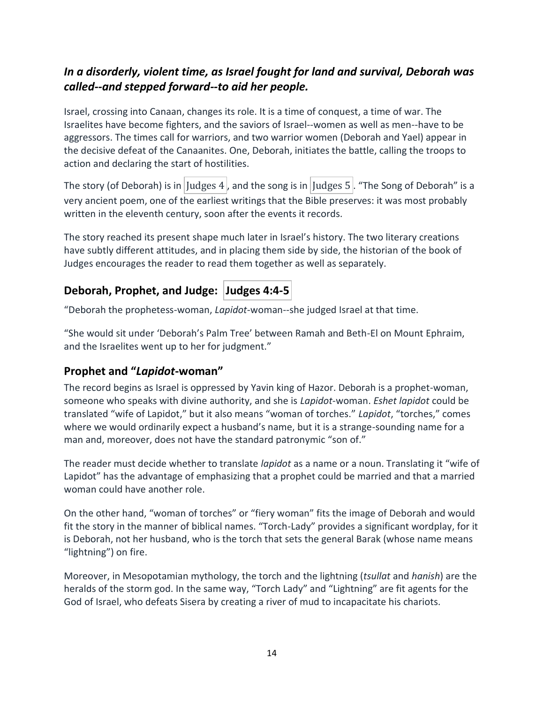## *In a disorderly, violent time, as Israel fought for land and survival, Deborah was called--and stepped forward--to aid her people.*

Israel, crossing into Canaan, changes its role. It is a time of conquest, a time of war. The Israelites have become fighters, and the saviors of Israel--women as well as men--have to be aggressors. The times call for warriors, and two warrior women (Deborah and Yael) appear in the decisive defeat of the Canaanites. One, Deborah, initiates the battle, calling the troops to action and declaring the start of hostilities.

The story (of Deborah) is in Judges 4, and the song is in Judges 5. "The Song of Deborah" is a very ancient poem, one of the earliest writings that the Bible preserves: it was most probably written in the eleventh century, soon after the events it records.

The story reached its present shape much later in Israel's history. The two literary creations have subtly different attitudes, and in placing them side by side, the historian of the book of Judges encourages the reader to read them together as well as separately.

## **Deborah, Prophet, and Judge: Judges 4:4-5**

"Deborah the prophetess-woman, *Lapidot*-woman--she judged Israel at that time.

"She would sit under 'Deborah's Palm Tree' between Ramah and Beth-El on Mount Ephraim, and the Israelites went up to her for judgment."

## **Prophet and "***Lapidot***-woman"**

The record begins as Israel is oppressed by Yavin king of Hazor. Deborah is a prophet-woman, someone who speaks with divine authority, and she is *Lapidot*-woman. *Eshet lapidot* could be translated "wife of Lapidot," but it also means "woman of torches." *Lapidot*, "torches," comes where we would ordinarily expect a husband's name, but it is a strange-sounding name for a man and, moreover, does not have the standard patronymic "son of."

The reader must decide whether to translate *lapidot* as a name or a noun. Translating it "wife of Lapidot" has the advantage of emphasizing that a prophet could be married and that a married woman could have another role.

On the other hand, "woman of torches" or "fiery woman" fits the image of Deborah and would fit the story in the manner of biblical names. "Torch-Lady" provides a significant wordplay, for it is Deborah, not her husband, who is the torch that sets the general Barak (whose name means "lightning") on fire.

Moreover, in Mesopotamian mythology, the torch and the lightning (*tsullat* and *hanish*) are the heralds of the storm god. In the same way, "Torch Lady" and "Lightning" are fit agents for the God of Israel, who defeats Sisera by creating a river of mud to incapacitate his chariots.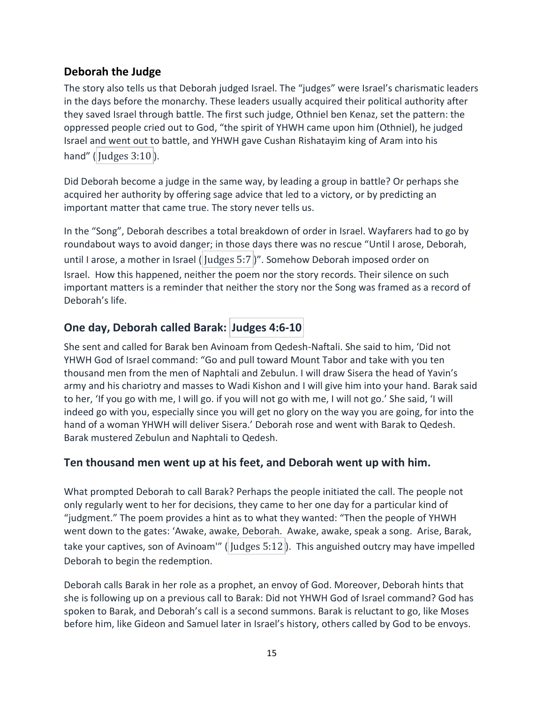## **Deborah the Judge**

The story also tells us that Deborah judged Israel. The "judges" were Israel's charismatic leaders in the days before the monarchy. These leaders usually acquired their political authority after they saved Israel through battle. The first such judge, Othniel ben Kenaz, set the pattern: the oppressed people cried out to God, "the spirit of YHWH came upon him (Othniel), he judged Israel and went out to battle, and YHWH gave Cushan Rishatayim king of Aram into his hand" ( $|$ Judges 3:10 $|$ ).

Did Deborah become a judge in the same way, by leading a group in battle? Or perhaps she acquired her authority by offering sage advice that led to a victory, or by predicting an important matter that came true. The story never tells us.

In the "Song", Deborah describes a total breakdown of order in Israel. Wayfarers had to go by roundabout ways to avoid danger; in those days there was no rescue "Until I arose, Deborah, until I arose, a mother in Israel ( Judges 5:7)". Somehow Deborah imposed order on Israel. How this happened, neither the poem nor the story records. Their silence on such important matters is a reminder that neither the story nor the Song was framed as a record of Deborah's life.

# **One day, Deborah called Barak: Judges 4:6-10**

She sent and called for Barak ben Avinoam from Qedesh-Naftali. She said to him, 'Did not YHWH God of Israel command: "Go and pull toward Mount Tabor and take with you ten thousand men from the men of Naphtali and Zebulun. I will draw Sisera the head of Yavin's army and his chariotry and masses to Wadi Kishon and I will give him into your hand. Barak said to her, 'If you go with me, I will go. if you will not go with me, I will not go.' She said, 'I will indeed go with you, especially since you will get no glory on the way you are going, for into the hand of a woman YHWH will deliver Sisera.' Deborah rose and went with Barak to Qedesh. Barak mustered Zebulun and Naphtali to Qedesh.

### **Ten thousand men went up at his feet, and Deborah went up with him.**

What prompted Deborah to call Barak? Perhaps the people initiated the call. The people not only regularly went to her for decisions, they came to her one day for a particular kind of "judgment." The poem provides a hint as to what they wanted: "Then the people of YHWH went down to the gates: 'Awake, awake, Deborah. Awake, awake, speak a song. Arise, Barak, take your captives, son of Avinoam'" (Judges 5:12). This anguished outcry may have impelled Deborah to begin the redemption.

Deborah calls Barak in her role as a prophet, an envoy of God. Moreover, Deborah hints that she is following up on a previous call to Barak: Did not YHWH God of Israel command? God has spoken to Barak, and Deborah's call is a second summons. Barak is reluctant to go, like Moses before him, like Gideon and Samuel later in Israel's history, others called by God to be envoys.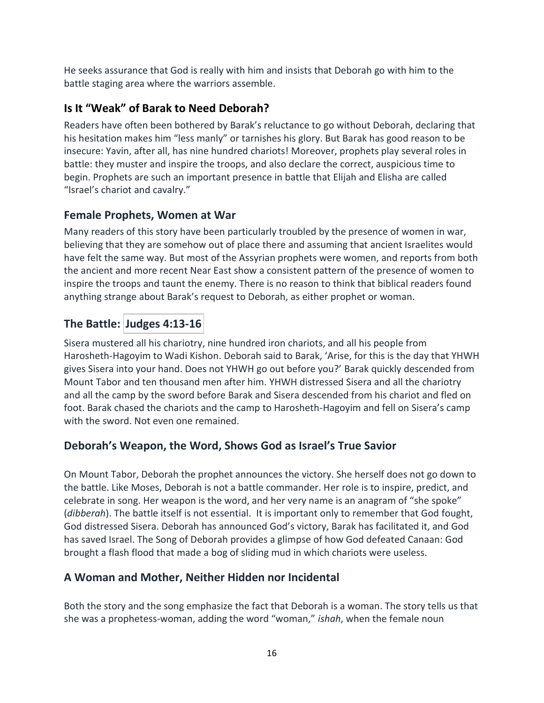He seeks assurance that God is really with him and insists that Deborah go with him to the battle staging area where the warriors assemble.

## **Is It "Weak" of Barak to Need Deborah?**

Readers have often been bothered by Barak's reluctance to go without Deborah, declaring that his hesitation makes him "less manly" or tarnishes his glory. But Barak has good reason to be insecure: Yavin, after all, has nine hundred chariots! Moreover, prophets play several roles in battle: they muster and inspire the troops, and also declare the correct, auspicious time to begin. Prophets are such an important presence in battle that Elijah and Elisha are called "Israel's chariot and cavalry."

### **Female Prophets, Women at War**

Many readers of this story have been particularly troubled by the presence of women in war, believing that they are somehow out of place there and assuming that ancient Israelites would have felt the same way. But most of the Assyrian prophets were women, and reports from both the ancient and more recent Near East show a consistent pattern of the presence of women to inspire the troops and taunt the enemy. There is no reason to think that biblical readers found anything strange about Barak's request to Deborah, as either prophet or woman.

# **The Battle: Judges 4:13-16**

Sisera mustered all his chariotry, nine hundred iron chariots, and all his people from Harosheth-Hagoyim to Wadi Kishon. Deborah said to Barak, 'Arise, for this is the day that YHWH gives Sisera into your hand. Does not YHWH go out before you?' Barak quickly descended from Mount Tabor and ten thousand men after him. YHWH distressed Sisera and all the chariotry and all the camp by the sword before Barak and Sisera descended from his chariot and fled on foot. Barak chased the chariots and the camp to Harosheth-Hagoyim and fell on Sisera's camp with the sword. Not even one remained.

## **Deborah's Weapon, the Word, Shows God as Israel's True Savior**

On Mount Tabor, Deborah the prophet announces the victory. She herself does not go down to the battle. Like Moses, Deborah is not a battle commander. Her role is to inspire, predict, and celebrate in song. Her weapon is the word, and her very name is an anagram of "she spoke" (*dibberah*). The battle itself is not essential. It is important only to remember that God fought, God distressed Sisera. Deborah has announced God's victory, Barak has facilitated it, and God has saved Israel. The Song of Deborah provides a glimpse of how God defeated Canaan: God brought a flash flood that made a bog of sliding mud in which chariots were useless.

### **A Woman and Mother, Neither Hidden nor Incidental**

Both the story and the song emphasize the fact that Deborah is a woman. The story tells us that she was a prophetess-woman, adding the word "woman," *ishah*, when the female noun